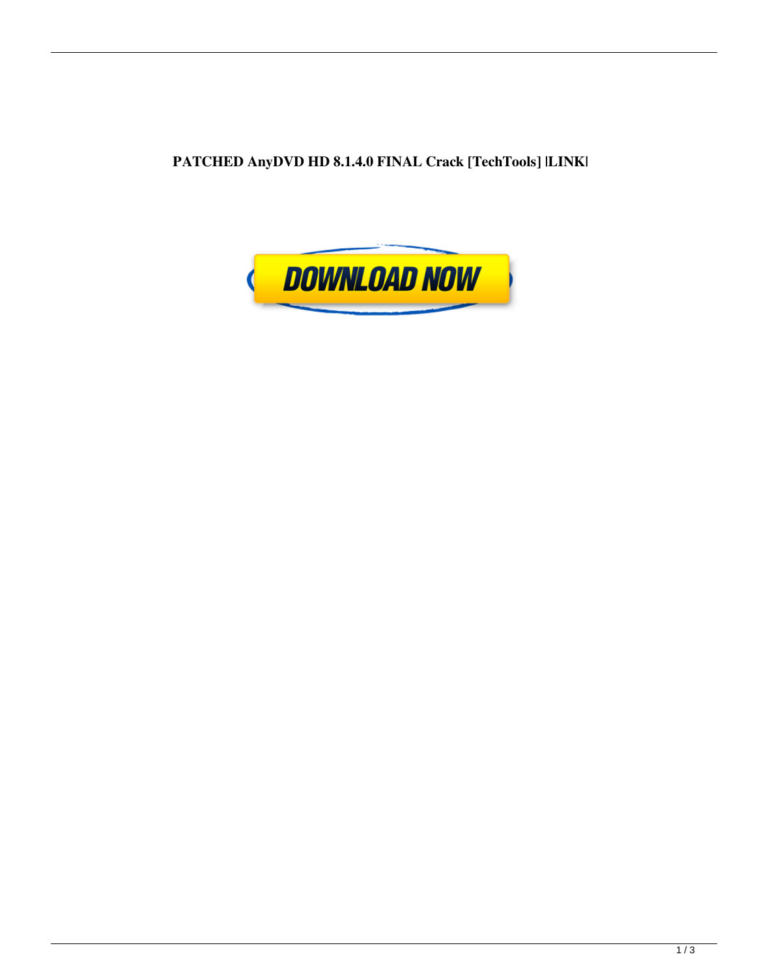**PATCHED AnyDVD HD 8.1.4.0 FINAL Crack [TechTools] |LINK|**

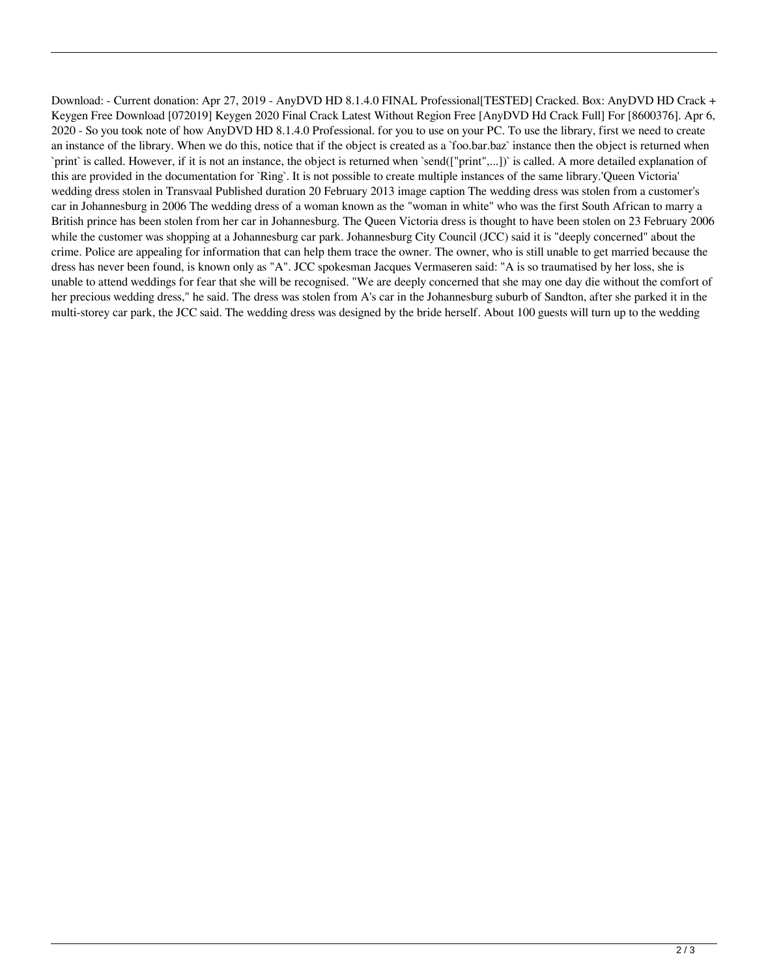Download: - Current donation: Apr 27, 2019 - AnyDVD HD 8.1.4.0 FINAL Professional[TESTED] Cracked. Box: AnyDVD HD Crack + Keygen Free Download [072019] Keygen 2020 Final Crack Latest Without Region Free [AnyDVD Hd Crack Full] For [8600376]. Apr 6, 2020 - So you took note of how AnyDVD HD 8.1.4.0 Professional. for you to use on your PC. To use the library, first we need to create an instance of the library. When we do this, notice that if the object is created as a `foo.bar.baz` instance then the object is returned when `print` is called. However, if it is not an instance, the object is returned when `send(["print",...])` is called. A more detailed explanation of this are provided in the documentation for `Ring`. It is not possible to create multiple instances of the same library.'Queen Victoria' wedding dress stolen in Transvaal Published duration 20 February 2013 image caption The wedding dress was stolen from a customer's car in Johannesburg in 2006 The wedding dress of a woman known as the "woman in white" who was the first South African to marry a British prince has been stolen from her car in Johannesburg. The Queen Victoria dress is thought to have been stolen on 23 February 2006 while the customer was shopping at a Johannesburg car park. Johannesburg City Council (JCC) said it is "deeply concerned" about the crime. Police are appealing for information that can help them trace the owner. The owner, who is still unable to get married because the dress has never been found, is known only as "A". JCC spokesman Jacques Vermaseren said: "A is so traumatised by her loss, she is unable to attend weddings for fear that she will be recognised. "We are deeply concerned that she may one day die without the comfort of her precious wedding dress," he said. The dress was stolen from A's car in the Johannesburg suburb of Sandton, after she parked it in the multi-storey car park, the JCC said. The wedding dress was designed by the bride herself. About 100 guests will turn up to the wedding